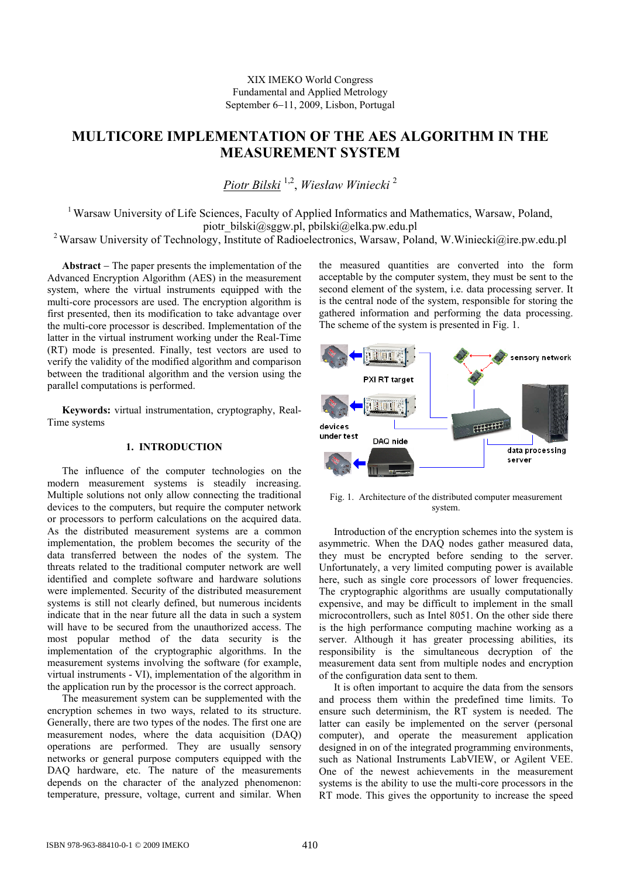# **MULTICORE IMPLEMENTATION OF THE AES ALGORITHM IN THE MEASUREMENT SYSTEM**

*Piotr Bilski* 1,2 , *Wiesław Winiecki* <sup>2</sup>

<sup>1</sup> Warsaw University of Life Sciences, Faculty of Applied Informatics and Mathematics, Warsaw, Poland, piotr\_bilski@sggw.pl, pbilski@elka.pw.edu.pl

<sup>2</sup> Warsaw University of Technology, Institute of Radioelectronics, Warsaw, Poland, W.Winiecki@ire.pw.edu.pl

**Abstract** − The paper presents the implementation of the Advanced Encryption Algorithm (AES) in the measurement system, where the virtual instruments equipped with the multi-core processors are used. The encryption algorithm is first presented, then its modification to take advantage over the multi-core processor is described. Implementation of the latter in the virtual instrument working under the Real-Time (RT) mode is presented. Finally, test vectors are used to verify the validity of the modified algorithm and comparison between the traditional algorithm and the version using the parallel computations is performed.

**Keywords:** virtual instrumentation, cryptography, Real-Time systems

# **1. INTRODUCTION**

The influence of the computer technologies on the modern measurement systems is steadily increasing. Multiple solutions not only allow connecting the traditional devices to the computers, but require the computer network or processors to perform calculations on the acquired data. As the distributed measurement systems are a common implementation, the problem becomes the security of the data transferred between the nodes of the system. The threats related to the traditional computer network are well identified and complete software and hardware solutions were implemented. Security of the distributed measurement systems is still not clearly defined, but numerous incidents indicate that in the near future all the data in such a system will have to be secured from the unauthorized access. The most popular method of the data security is the implementation of the cryptographic algorithms. In the measurement systems involving the software (for example, virtual instruments - VI), implementation of the algorithm in the application run by the processor is the correct approach.

The measurement system can be supplemented with the encryption schemes in two ways, related to its structure. Generally, there are two types of the nodes. The first one are measurement nodes, where the data acquisition (DAQ) operations are performed. They are usually sensory networks or general purpose computers equipped with the DAQ hardware, etc. The nature of the measurements depends on the character of the analyzed phenomenon: temperature, pressure, voltage, current and similar. When

the measured quantities are converted into the form acceptable by the computer system, they must be sent to the second element of the system, i.e. data processing server. It is the central node of the system, responsible for storing the gathered information and performing the data processing. The scheme of the system is presented in Fig. 1.



Fig. 1. Architecture of the distributed computer measurement system.

Introduction of the encryption schemes into the system is asymmetric. When the DAQ nodes gather measured data, they must be encrypted before sending to the server. Unfortunately, a very limited computing power is available here, such as single core processors of lower frequencies. The cryptographic algorithms are usually computationally expensive, and may be difficult to implement in the small microcontrollers, such as Intel 8051. On the other side there is the high performance computing machine working as a server. Although it has greater processing abilities, its responsibility is the simultaneous decryption of the measurement data sent from multiple nodes and encryption of the configuration data sent to them.

It is often important to acquire the data from the sensors and process them within the predefined time limits. To ensure such determinism, the RT system is needed. The latter can easily be implemented on the server (personal computer), and operate the measurement application designed in on of the integrated programming environments, such as National Instruments LabVIEW, or Agilent VEE. One of the newest achievements in the measurement systems is the ability to use the multi-core processors in the RT mode. This gives the opportunity to increase the speed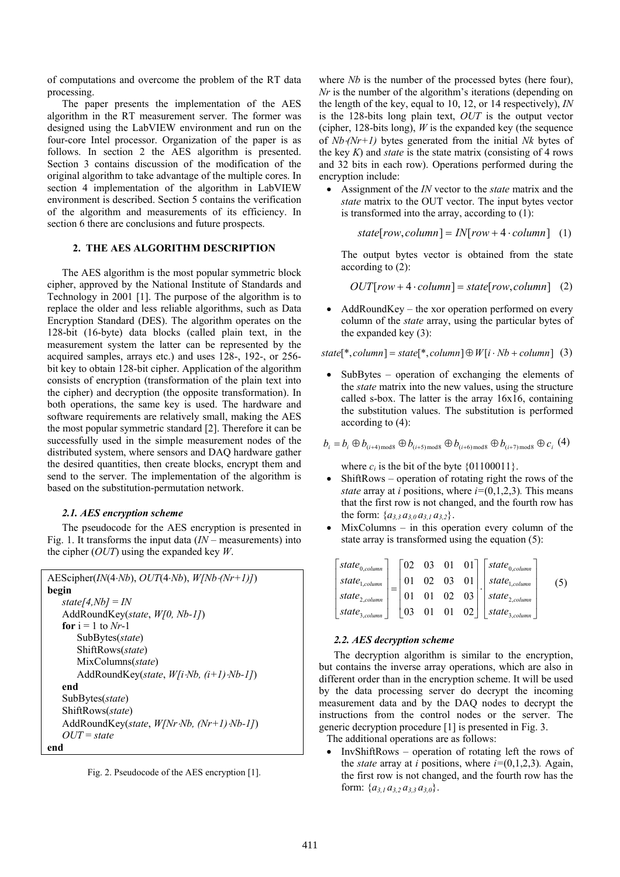of computations and overcome the problem of the RT data processing.

The paper presents the implementation of the AES algorithm in the RT measurement server. The former was designed using the LabVIEW environment and run on the four-core Intel processor. Organization of the paper is as follows. In section 2 the AES algorithm is presented. Section 3 contains discussion of the modification of the original algorithm to take advantage of the multiple cores. In section 4 implementation of the algorithm in LabVIEW environment is described. Section 5 contains the verification of the algorithm and measurements of its efficiency. In section 6 there are conclusions and future prospects.

### **2. THE AES ALGORITHM DESCRIPTION**

The AES algorithm is the most popular symmetric block cipher, approved by the National Institute of Standards and Technology in 2001 [1]. The purpose of the algorithm is to replace the older and less reliable algorithms, such as Data Encryption Standard (DES). The algorithm operates on the 128-bit (16-byte) data blocks (called plain text, in the measurement system the latter can be represented by the acquired samples, arrays etc.) and uses 128-, 192-, or 256 bit key to obtain 128-bit cipher. Application of the algorithm consists of encryption (transformation of the plain text into the cipher) and decryption (the opposite transformation). In both operations, the same key is used. The hardware and software requirements are relatively small, making the AES the most popular symmetric standard [2]. Therefore it can be successfully used in the simple measurement nodes of the distributed system, where sensors and DAQ hardware gather the desired quantities, then create blocks, encrypt them and send to the server. The implementation of the algorithm is based on the substitution-permutation network.

# *2.1. AES encryption scheme*

The pseudocode for the AES encryption is presented in Fig. 1. It transforms the input data (*IN –* measurements) into the cipher (*OUT*) using the expanded key *W*.

```
AEScipher(IN(4⋅Nb), OUT(4⋅Nb), W[Nb⋅(Nr+1)]) 
begin 
   state[4,Nb] = IN 
    AddRoundKey(state, W[0, Nb-1]) 
   for i = 1 to Nr-1 SubBytes(state) 
        ShiftRows(state) 
        MixColumns(state) 
        AddRoundKey(state, W[i⋅Nb, (i+1)⋅Nb-1]) 
   end 
    SubBytes(state) 
    ShiftRows(state) 
    AddRoundKey(state, W[Nr⋅Nb, (Nr+1)⋅Nb-1]) 
   OUT = state
end
```
Fig. 2. Pseudocode of the AES encryption [1].

where *Nb* is the number of the processed bytes (here four), *Nr* is the number of the algorithm's iterations (depending on the length of the key, equal to 10, 12, or 14 respectively), *IN* is the 128-bits long plain text, *OUT* is the output vector (cipher, 128-bits long), *W* is the expanded key (the sequence of *Nb*⋅*(Nr+1)* bytes generated from the initial *Nk* bytes of the key  $K$ ) and *state* is the state matrix (consisting of 4 rows and 32 bits in each row). Operations performed during the encryption include:

• Assignment of the *IN* vector to the *state* matrix and the *state* matrix to the OUT vector. The input bytes vector is transformed into the array, according to (1):

 $state[row, column] = IN[row + 4 \cdot column]$  (1)

The output bytes vector is obtained from the state according to (2):

 $OUT[row + 4 \cdot column] = state[row, column]$  (2)

 $AddRoundKey - the xor operation performed on every$ column of the *state* array, using the particular bytes of the expanded key (3):

 $state[*$ ,  $column] = state[*$ ,  $column] \oplus W[i \cdot Nb + column]$  (3)

SubBytes – operation of exchanging the elements of the *state* matrix into the new values, using the structure called s-box. The latter is the array 16x16, containing the substitution values. The substitution is performed according to (4):

$$
b_i = b_i \oplus b_{(i+4)\text{mod}8} \oplus b_{(i+5)\text{mod}8} \oplus b_{(i+6)\text{mod}8} \oplus b_{(i+7)\text{mod}8} \oplus c_i
$$
 (4)

where  $c_i$  is the bit of the byte  $\{01100011\}$ .

- ShiftRows operation of rotating right the rows of the *state* array at *i* positions, where  $i=(0,1,2,3)$ . This means that the first row is not changed, and the fourth row has the form:  $\{a_3, a_3, a_3, a_3, a_3, a_2\}$ .
- MixColumns in this operation every column of the state array is transformed using the equation (5):

$$
\begin{bmatrix} state_{0,column} \\ state_{1,column} \\ state_{2,column} \\ state_{3,column} \end{bmatrix} = \begin{bmatrix} 02 & 03 & 01 & 01 \\ 01 & 02 & 03 & 01 \\ 01 & 01 & 02 & 03 \\ 03 & 01 & 01 & 02 \end{bmatrix} \begin{bmatrix} state_{0,column} \\ state_{1,column} \\ state_{2,column} \\ state_{2,column} \end{bmatrix}
$$
 (5)

#### *2.2. AES decryption scheme*

The decryption algorithm is similar to the encryption, but contains the inverse array operations, which are also in different order than in the encryption scheme. It will be used by the data processing server do decrypt the incoming measurement data and by the DAQ nodes to decrypt the instructions from the control nodes or the server. The generic decryption procedure [1] is presented in Fig. 3.

The additional operations are as follows:

• InvShiftRows – operation of rotating left the rows of the *state* array at *i* positions, where  $i=(0,1,2,3)$ . Again, the first row is not changed, and the fourth row has the form:  ${a_{3,1} a_{3,2} a_{3,3} a_{3,0}}$ .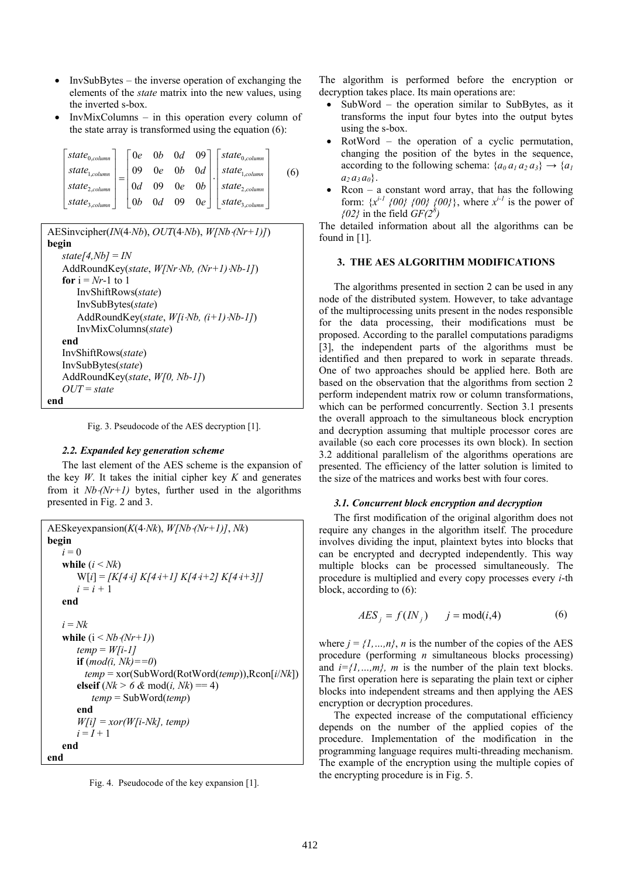- InvSubBytes the inverse operation of exchanging the elements of the *state* matrix into the new values, using the inverted s-box.
- InvMixColumns in this operation every column of the state array is transformed using the equation (6):

| $\lceil state_{0,column} \rceil$      |                    |  |                                                   | $\begin{bmatrix} 0e & 0b & 0d & 09 \end{bmatrix}$   state <sub>0,column</sub> |  |
|---------------------------------------|--------------------|--|---------------------------------------------------|-------------------------------------------------------------------------------|--|
| $\int_{0}^{\infty} state_{1, column}$ |                    |  |                                                   | $\begin{vmatrix} 09 & 0e & 0b & 0d \end{vmatrix}$ state <sub>1,column</sub>   |  |
| $\lceil state_{2,column} \rceil$      |                    |  | $\begin{vmatrix} 0d & 09 & 0e & 0b \end{vmatrix}$ | $\perp$   state <sub>2,column</sub> $\perp$                                   |  |
| $\mid state_{3,column} \mid$          | $\vert$ 0 <i>b</i> |  |                                                   | 0d 09 0e $\vert$ state <sub>3,column</sub>                                    |  |

```
AESinvcipher(IN(4⋅Nb), OUT(4⋅Nb), W[Nb⋅(Nr+1)]) 
begin 
   state[4,Nb] = IN 
    AddRoundKey(state, W[Nr⋅Nb, (Nr+1)⋅Nb-1]) 
   for i = Nr-1 to 1
        InvShiftRows(state) 
        InvSubBytes(state) 
        AddRoundKey(state, W[i⋅Nb, (i+1)⋅Nb-1]) 
        InvMixColumns(state) 
   end 
    InvShiftRows(state) 
    InvSubBytes(state) 
    AddRoundKey(state, W[0, Nb-1]) 
   OUT = state
end
```
Fig. 3. Pseudocode of the AES decryption [1].

### *2.2. Expanded key generation scheme*

The last element of the AES scheme is the expansion of the key  $W$ . It takes the initial cipher key  $K$  and generates from it  $Nb·(Nr+1)$  bytes, further used in the algorithms presented in Fig. 2 and 3.

```
AESkeyexpansion(K(4⋅Nk), W[Nb⋅(Nr+1)], Nk) 
begin 
   i = 0while (i \leq Nk) W[i] = [K[4⋅i] K[4⋅i+1] K[4⋅i+2] K[4⋅i+3]] 
      i = i + 1end 
   i = Nkwhile (i < Nb⋅(Nr+1)) 
        temp = W[i-1]
        if (mod(i, Nk)==0) 
          temp = xor(SubWord(RotWord(temp)),Rcon[i/Nk])
       elseif (Nk > 6 \& \text{mod}(i, Nk) = 4) temp = SubWord(temp) 
        end 
        W[i] = xor(W[i-Nk], temp)
       i = I + 1end 
end
```
Fig. 4. Pseudocode of the key expansion [1].

The algorithm is performed before the encryption or decryption takes place. Its main operations are:

- SubWord the operation similar to SubBytes, as it transforms the input four bytes into the output bytes using the s-box.
- $RotWord the operation of a cyclic permutation,$ changing the position of the bytes in the sequence, according to the following schema:  ${a_0 a_1 a_2 a_3} \rightarrow {a_1}$  $a_2 a_3 a_0$ .
- Rcon a constant word array, that has the following form:  $\{x^{i-1} \{00\} \{00\} \{00\}$ , where  $x^{i-1}$  is the power of  $(02)$  in the field  $GF(2^8)$

The detailed information about all the algorithms can be found in [1].

### **3. THE AES ALGORITHM MODIFICATIONS**

The algorithms presented in section 2 can be used in any node of the distributed system. However, to take advantage of the multiprocessing units present in the nodes responsible for the data processing, their modifications must be proposed. According to the parallel computations paradigms [3], the independent parts of the algorithms must be identified and then prepared to work in separate threads. One of two approaches should be applied here. Both are based on the observation that the algorithms from section 2 perform independent matrix row or column transformations, which can be performed concurrently. Section 3.1 presents the overall approach to the simultaneous block encryption and decryption assuming that multiple processor cores are available (so each core processes its own block). In section 3.2 additional parallelism of the algorithms operations are presented. The efficiency of the latter solution is limited to the size of the matrices and works best with four cores.

### *3.1. Concurrent block encryption and decryption*

The first modification of the original algorithm does not require any changes in the algorithm itself. The procedure involves dividing the input, plaintext bytes into blocks that can be encrypted and decrypted independently. This way multiple blocks can be processed simultaneously. The procedure is multiplied and every copy processes every *i*-th block, according to (6):

$$
AES_j = f(IN_j) \qquad j = \text{mod}(i,4) \tag{6}
$$

where  $j = \{1, ..., n\}$ , *n* is the number of the copies of the AES procedure (performing *n* simultaneous blocks processing) and  $i=1,...,m$ , *m* is the number of the plain text blocks. The first operation here is separating the plain text or cipher blocks into independent streams and then applying the AES encryption or decryption procedures.

The expected increase of the computational efficiency depends on the number of the applied copies of the procedure. Implementation of the modification in the programming language requires multi-threading mechanism. The example of the encryption using the multiple copies of the encrypting procedure is in Fig. 5.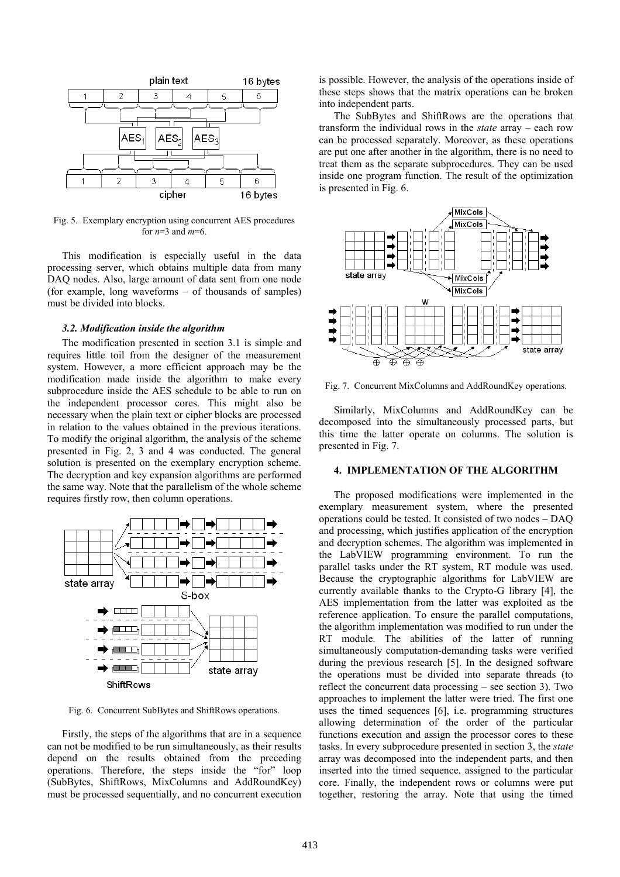

Fig. 5. Exemplary encryption using concurrent AES procedures for *n*=3 and *m*=6.

This modification is especially useful in the data processing server, which obtains multiple data from many DAQ nodes. Also, large amount of data sent from one node (for example, long waveforms – of thousands of samples) must be divided into blocks.

# *3.2. Modification inside the algorithm*

The modification presented in section 3.1 is simple and requires little toil from the designer of the measurement system. However, a more efficient approach may be the modification made inside the algorithm to make every subprocedure inside the AES schedule to be able to run on the independent processor cores. This might also be necessary when the plain text or cipher blocks are processed in relation to the values obtained in the previous iterations. To modify the original algorithm, the analysis of the scheme presented in Fig. 2, 3 and 4 was conducted. The general solution is presented on the exemplary encryption scheme. The decryption and key expansion algorithms are performed the same way. Note that the parallelism of the whole scheme requires firstly row, then column operations.



Fig. 6. Concurrent SubBytes and ShiftRows operations.

Firstly, the steps of the algorithms that are in a sequence can not be modified to be run simultaneously, as their results depend on the results obtained from the preceding operations. Therefore, the steps inside the "for" loop (SubBytes, ShiftRows, MixColumns and AddRoundKey) must be processed sequentially, and no concurrent execution is possible. However, the analysis of the operations inside of these steps shows that the matrix operations can be broken into independent parts.

The SubBytes and ShiftRows are the operations that transform the individual rows in the *state* array – each row can be processed separately. Moreover, as these operations are put one after another in the algorithm, there is no need to treat them as the separate subprocedures. They can be used inside one program function. The result of the optimization is presented in Fig. 6.



Fig. 7. Concurrent MixColumns and AddRoundKey operations.

Similarly, MixColumns and AddRoundKey can be decomposed into the simultaneously processed parts, but this time the latter operate on columns. The solution is presented in Fig. 7.

# **4. IMPLEMENTATION OF THE ALGORITHM**

The proposed modifications were implemented in the exemplary measurement system, where the presented operations could be tested. It consisted of two nodes – DAQ and processing, which justifies application of the encryption and decryption schemes. The algorithm was implemented in the LabVIEW programming environment. To run the parallel tasks under the RT system, RT module was used. Because the cryptographic algorithms for LabVIEW are currently available thanks to the Crypto-G library [4], the AES implementation from the latter was exploited as the reference application. To ensure the parallel computations, the algorithm implementation was modified to run under the RT module. The abilities of the latter of running simultaneously computation-demanding tasks were verified during the previous research [5]. In the designed software the operations must be divided into separate threads (to reflect the concurrent data processing – see section 3). Two approaches to implement the latter were tried. The first one uses the timed sequences [6], i.e. programming structures allowing determination of the order of the particular functions execution and assign the processor cores to these tasks. In every subprocedure presented in section 3, the *state* array was decomposed into the independent parts, and then inserted into the timed sequence, assigned to the particular core. Finally, the independent rows or columns were put together, restoring the array. Note that using the timed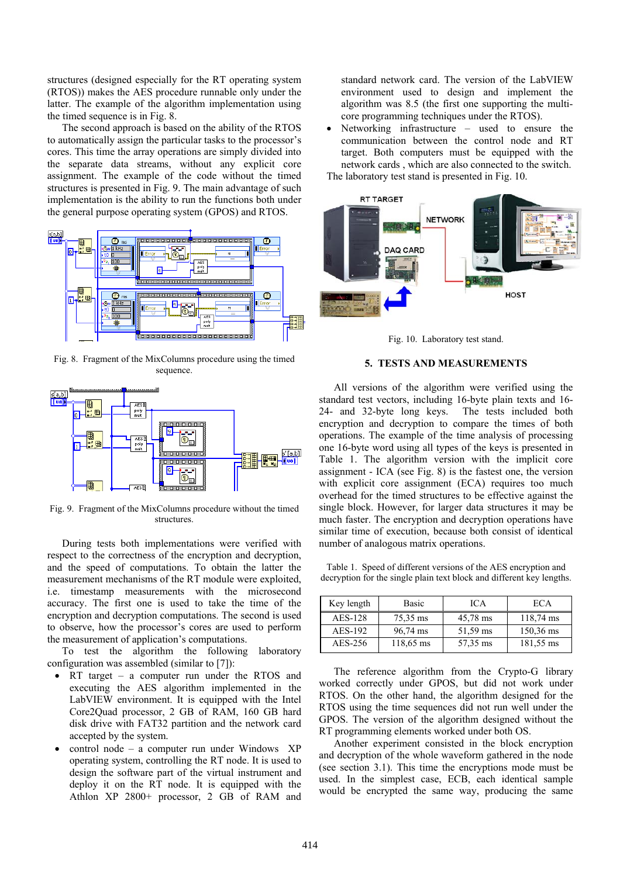structures (designed especially for the RT operating system (RTOS)) makes the AES procedure runnable only under the latter. The example of the algorithm implementation using the timed sequence is in Fig. 8.

The second approach is based on the ability of the RTOS to automatically assign the particular tasks to the processor's cores. This time the array operations are simply divided into the separate data streams, without any explicit core assignment. The example of the code without the timed structures is presented in Fig. 9. The main advantage of such implementation is the ability to run the functions both under the general purpose operating system (GPOS) and RTOS.



Fig. 8. Fragment of the MixColumns procedure using the timed sequence.



Fig. 9. Fragment of the MixColumns procedure without the timed structures.

During tests both implementations were verified with respect to the correctness of the encryption and decryption, and the speed of computations. To obtain the latter the measurement mechanisms of the RT module were exploited, i.e. timestamp measurements with the microsecond accuracy. The first one is used to take the time of the encryption and decryption computations. The second is used to observe, how the processor's cores are used to perform the measurement of application's computations.

To test the algorithm the following laboratory configuration was assembled (similar to [7]):

- RT target a computer run under the RTOS and executing the AES algorithm implemented in the LabVIEW environment. It is equipped with the Intel Core2Quad processor, 2 GB of RAM, 160 GB hard disk drive with FAT32 partition and the network card accepted by the system.
- control node a computer run under Windows  $XP$ operating system, controlling the RT node. It is used to design the software part of the virtual instrument and deploy it on the RT node. It is equipped with the Athlon XP 2800+ processor, 2 GB of RAM and

standard network card. The version of the LabVIEW environment used to design and implement the algorithm was 8.5 (the first one supporting the multicore programming techniques under the RTOS).

Networking infrastructure  $-$  used to ensure the communication between the control node and RT target. Both computers must be equipped with the network cards , which are also connected to the switch.

The laboratory test stand is presented in Fig. 10.



Fig. 10. Laboratory test stand.

# **5. TESTS AND MEASUREMENTS**

All versions of the algorithm were verified using the standard test vectors, including 16-byte plain texts and 16- 24- and 32-byte long keys. The tests included both encryption and decryption to compare the times of both operations. The example of the time analysis of processing one 16-byte word using all types of the keys is presented in Table 1. The algorithm version with the implicit core assignment - ICA (see Fig. 8) is the fastest one, the version with explicit core assignment (ECA) requires too much overhead for the timed structures to be effective against the single block. However, for larger data structures it may be much faster. The encryption and decryption operations have similar time of execution, because both consist of identical number of analogous matrix operations.

Table 1. Speed of different versions of the AES encryption and decryption for the single plain text block and different key lengths.

| Key length | <b>Basic</b> | <b>ICA</b> | ECA.        |
|------------|--------------|------------|-------------|
| AES-128    | 75,35 ms     | 45,78 ms   | 118,74 ms   |
| AES-192    | 96,74 ms     | 51,59 ms   | $150,36$ ms |
| AES-256    | 118,65 ms    | 57,35 ms   | 181,55 ms   |

The reference algorithm from the Crypto-G library worked correctly under GPOS, but did not work under RTOS. On the other hand, the algorithm designed for the RTOS using the time sequences did not run well under the GPOS. The version of the algorithm designed without the RT programming elements worked under both OS.

Another experiment consisted in the block encryption and decryption of the whole waveform gathered in the node (see section 3.1). This time the encryptions mode must be used. In the simplest case, ECB, each identical sample would be encrypted the same way, producing the same